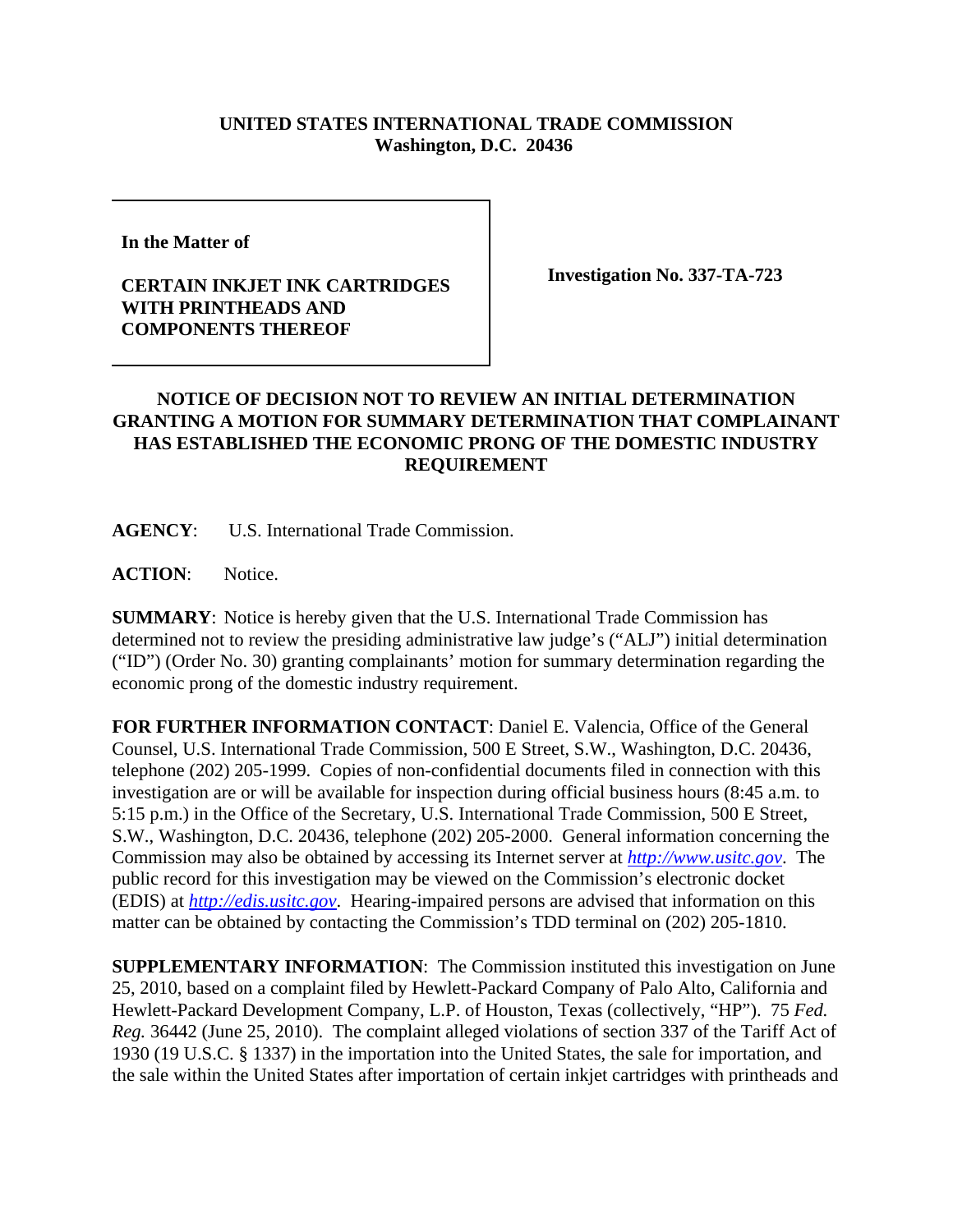## **UNITED STATES INTERNATIONAL TRADE COMMISSION Washington, D.C. 20436**

**In the Matter of** 

## **CERTAIN INKJET INK CARTRIDGES WITH PRINTHEADS AND COMPONENTS THEREOF**

**Investigation No. 337-TA-723**

## **NOTICE OF DECISION NOT TO REVIEW AN INITIAL DETERMINATION GRANTING A MOTION FOR SUMMARY DETERMINATION THAT COMPLAINANT HAS ESTABLISHED THE ECONOMIC PRONG OF THE DOMESTIC INDUSTRY REQUIREMENT**

**AGENCY**: U.S. International Trade Commission.

**ACTION**: Notice.

**SUMMARY**: Notice is hereby given that the U.S. International Trade Commission has determined not to review the presiding administrative law judge's ("ALJ") initial determination ("ID") (Order No. 30) granting complainants' motion for summary determination regarding the economic prong of the domestic industry requirement.

**FOR FURTHER INFORMATION CONTACT**: Daniel E. Valencia, Office of the General Counsel, U.S. International Trade Commission, 500 E Street, S.W., Washington, D.C. 20436, telephone (202) 205-1999. Copies of non-confidential documents filed in connection with this investigation are or will be available for inspection during official business hours (8:45 a.m. to 5:15 p.m.) in the Office of the Secretary, U.S. International Trade Commission, 500 E Street, S.W., Washington, D.C. 20436, telephone (202) 205-2000. General information concerning the Commission may also be obtained by accessing its Internet server at *http://www.usitc.gov*. The public record for this investigation may be viewed on the Commission's electronic docket (EDIS) at *http://edis.usitc.gov*. Hearing-impaired persons are advised that information on this matter can be obtained by contacting the Commission's TDD terminal on (202) 205-1810.

**SUPPLEMENTARY INFORMATION**: The Commission instituted this investigation on June 25, 2010, based on a complaint filed by Hewlett-Packard Company of Palo Alto, California and Hewlett-Packard Development Company, L.P. of Houston, Texas (collectively, "HP"). 75 *Fed. Reg.* 36442 (June 25, 2010). The complaint alleged violations of section 337 of the Tariff Act of 1930 (19 U.S.C. § 1337) in the importation into the United States, the sale for importation, and the sale within the United States after importation of certain inkjet cartridges with printheads and